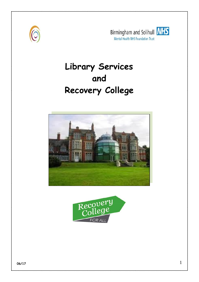







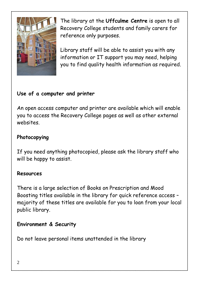

The library at the **Uffculme Centre** is open to all Recovery College students and family carers for reference only purposes.

Library staff will be able to assist you with any information or IT support you may need, helping you to find quality health information as required.

## **Use of a computer and printer**

An open access computer and printer are available which will enable you to access the Recovery College pages as well as other external websites.

### **Photocopying**

If you need anything photocopied, please ask the library staff who will be happy to assist.

### **Resources**

There is a large selection of Books on Prescription and Mood Boosting titles available in the library for quick reference access – majority of these titles are available for you to loan from your local public library.

### **Environment & Security**

Do not leave personal items unattended in the library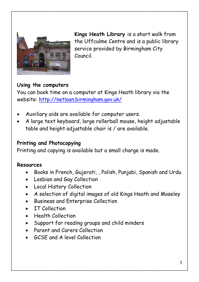

**Kings Heath Library** is a short walk from the Uffculme Centre and is a public library service provided by Birmingham City Council.

#### **Using the computers**

You can book time on a computer at Kings Heath library via the website:<http://netloan.birmingham.gov.uk/>

- Auxiliary aids are available for computer users.
- A large text keyboard, large rollerball mouse, height adjustable table and height adjustable chair is / are available.

#### **Printing and Photocopying**

Printing and copying is available but a small charge is made.

#### **Resources**

- Books in French, Gujerati, , Polish, Punjabi, Spanish and Urdu
- Lesbian and Gay Collection
- Local History Collection
- A selection of digital images of old Kings Heath and Moseley
- Business and Enterprise Collection
- IT Collection
- Health Collection
- Support for reading groups and child minders
- Parent and Carers Collection
- GCSE and A level Collection